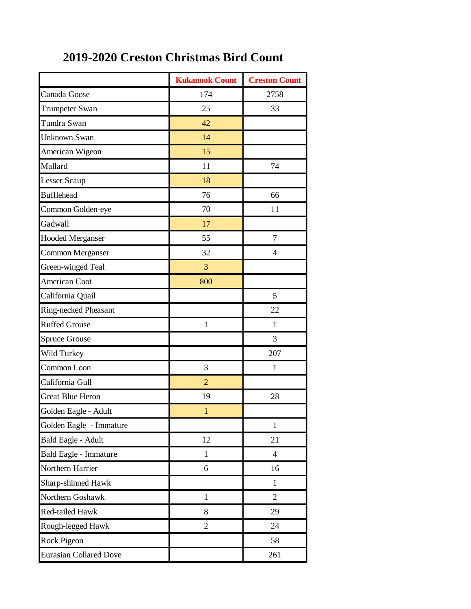|                               | <b>Kukanook Count</b> | <b>Creston Count</b> |
|-------------------------------|-----------------------|----------------------|
| Canada Goose                  | 174                   | 2758                 |
| Trumpeter Swan                | 25                    | 33                   |
| Tundra Swan                   | 42                    |                      |
| <b>Unknown Swan</b>           | 14                    |                      |
| American Wigeon               | 15                    |                      |
| Mallard                       | 11                    | 74                   |
| <b>Lesser Scaup</b>           | 18                    |                      |
| <b>Bufflehead</b>             | 76                    | 66                   |
| Common Golden-eye             | 70                    | 11                   |
| Gadwall                       | 17                    |                      |
| <b>Hooded Merganser</b>       | 55                    | $\tau$               |
| Common Merganser              | 32                    | $\overline{4}$       |
| Green-winged Teal             | $\mathfrak{Z}$        |                      |
| <b>American Coot</b>          | 800                   |                      |
| California Quail              |                       | 5                    |
| Ring-necked Pheasant          |                       | 22                   |
| <b>Ruffed Grouse</b>          | $\mathbf{1}$          | $\mathbf{1}$         |
| <b>Spruce Grouse</b>          |                       | 3                    |
| Wild Turkey                   |                       | 207                  |
| Common Loon                   | 3                     | $\mathbf{1}$         |
| California Gull               | $\overline{2}$        |                      |
| <b>Great Blue Heron</b>       | 19                    | 28                   |
| Golden Eagle - Adult          | $\mathbf{1}$          |                      |
| Golden Eagle - Immature       |                       | $\mathbf{1}$         |
| Bald Eagle - Adult            | 12                    | 21                   |
| Bald Eagle - Immature         | $\mathbf{1}$          | $\overline{4}$       |
| Northern Harrier              | 6                     | 16                   |
| Sharp-shinned Hawk            |                       | $\mathbf{1}$         |
| Northern Goshawk              | $\mathbf{1}$          | $\overline{2}$       |
| <b>Red-tailed Hawk</b>        | 8                     | 29                   |
| Rough-legged Hawk             | $\overline{2}$        | 24                   |
| Rock Pigeon                   |                       | 58                   |
| <b>Eurasian Collared Dove</b> |                       | 261                  |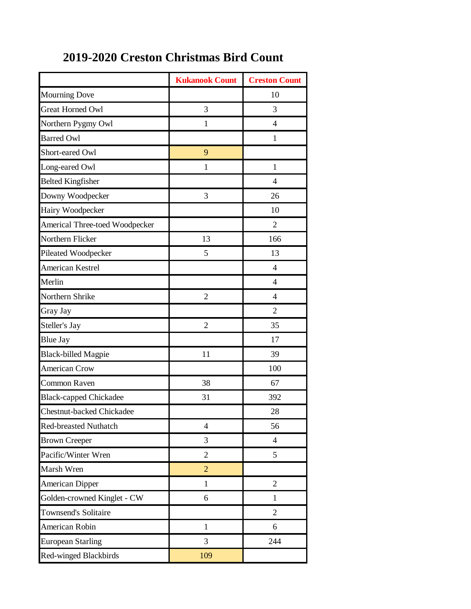|                                | <b>Kukanook Count</b> | <b>Creston Count</b> |
|--------------------------------|-----------------------|----------------------|
| <b>Mourning Dove</b>           |                       | 10                   |
| <b>Great Horned Owl</b>        | 3                     | 3                    |
| Northern Pygmy Owl             | $\mathbf{1}$          | $\overline{4}$       |
| <b>Barred Owl</b>              |                       | 1                    |
| Short-eared Owl                | 9                     |                      |
| Long-eared Owl                 | 1                     | $\mathbf{1}$         |
| <b>Belted Kingfisher</b>       |                       | $\overline{4}$       |
| Downy Woodpecker               | 3                     | 26                   |
| Hairy Woodpecker               |                       | 10                   |
| Americal Three-toed Woodpecker |                       | $\overline{2}$       |
| Northern Flicker               | 13                    | 166                  |
| Pileated Woodpecker            | 5                     | 13                   |
| American Kestrel               |                       | $\overline{4}$       |
| Merlin                         |                       | $\overline{4}$       |
| Northern Shrike                | $\overline{2}$        | $\overline{4}$       |
| Gray Jay                       |                       | $\overline{2}$       |
| Steller's Jay                  | $\overline{2}$        | 35                   |
| <b>Blue Jay</b>                |                       | 17                   |
| <b>Black-billed Magpie</b>     | 11                    | 39                   |
| <b>American Crow</b>           |                       | 100                  |
| Common Raven                   | 38                    | 67                   |
| <b>Black-capped Chickadee</b>  | 31                    | 392                  |
| Chestnut-backed Chickadee      |                       | 28                   |
| <b>Red-breasted Nuthatch</b>   | $\overline{4}$        | 56                   |
| <b>Brown Creeper</b>           | 3                     | $\overline{4}$       |
| Pacific/Winter Wren            | $\overline{2}$        | 5                    |
| Marsh Wren                     | $\overline{2}$        |                      |
| <b>American Dipper</b>         | $\mathbf{1}$          | $\sqrt{2}$           |
| Golden-crowned Kinglet - CW    | 6                     | $\mathbf{1}$         |
| <b>Townsend's Solitaire</b>    |                       | $\overline{2}$       |
| American Robin                 | $\mathbf{1}$          | 6                    |
| <b>European Starling</b>       | 3                     | 244                  |
| Red-winged Blackbirds          | 109                   |                      |

## **2019-2020 Creston Christmas Bird Count**